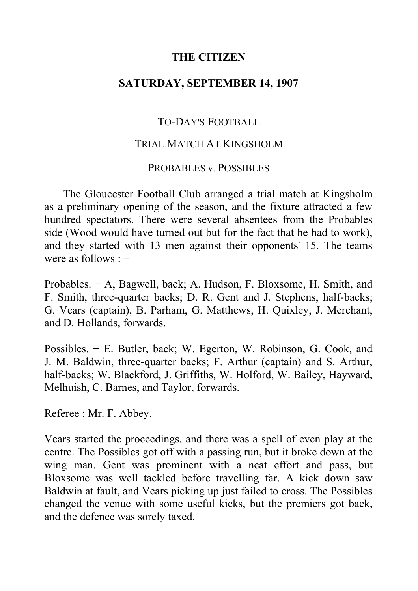# **THE CITIZEN**

### **SATURDAY, SEPTEMBER 14, 1907**

## TO-DAY'S FOOTBALL

### TRIAL MATCH AT KINGSHOLM

#### PROBABLES v. POSSIBLES

The Gloucester Football Club arranged a trial match at Kingsholm as a preliminary opening of the season, and the fixture attracted a few hundred spectators. There were several absentees from the Probables side (Wood would have turned out but for the fact that he had to work), and they started with 13 men against their opponents' 15. The teams were as follows : −

Probables. − A, Bagwell, back; A. Hudson, F. Bloxsome, H. Smith, and F. Smith, three-quarter backs; D. R. Gent and J. Stephens, half-backs; G. Vears (captain), B. Parham, G. Matthews, H. Quixley, J. Merchant, and D. Hollands, forwards.

Possibles. − E. Butler, back; W. Egerton, W. Robinson, G. Cook, and J. M. Baldwin, three-quarter backs; F. Arthur (captain) and S. Arthur, half-backs; W. Blackford, J. Griffiths, W. Holford, W. Bailey, Hayward, Melhuish, C. Barnes, and Taylor, forwards.

Referee : Mr. F. Abbey.

Vears started the proceedings, and there was a spell of even play at the centre. The Possibles got off with a passing run, but it broke down at the wing man. Gent was prominent with a neat effort and pass, but Bloxsome was well tackled before travelling far. A kick down saw Baldwin at fault, and Vears picking up just failed to cross. The Possibles changed the venue with some useful kicks, but the premiers got back, and the defence was sorely taxed.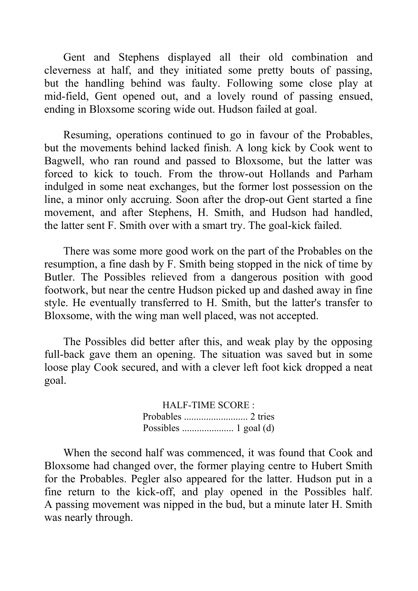Gent and Stephens displayed all their old combination and cleverness at half, and they initiated some pretty bouts of passing, but the handling behind was faulty. Following some close play at mid-field, Gent opened out, and a lovely round of passing ensued, ending in Bloxsome scoring wide out. Hudson failed at goal.

Resuming, operations continued to go in favour of the Probables, but the movements behind lacked finish. A long kick by Cook went to Bagwell, who ran round and passed to Bloxsome, but the latter was forced to kick to touch. From the throw-out Hollands and Parham indulged in some neat exchanges, but the former lost possession on the line, a minor only accruing. Soon after the drop-out Gent started a fine movement, and after Stephens, H. Smith, and Hudson had handled, the latter sent F. Smith over with a smart try. The goal-kick failed.

There was some more good work on the part of the Probables on the resumption, a fine dash by F. Smith being stopped in the nick of time by Butler. The Possibles relieved from a dangerous position with good footwork, but near the centre Hudson picked up and dashed away in fine style. He eventually transferred to H. Smith, but the latter's transfer to Bloxsome, with the wing man well placed, was not accepted.

The Possibles did better after this, and weak play by the opposing full-back gave them an opening. The situation was saved but in some loose play Cook secured, and with a clever left foot kick dropped a neat goal.

> HALF-TIME SCORE : Probables .......................... 2 tries Possibles ..................... 1 goal (d)

When the second half was commenced, it was found that Cook and Bloxsome had changed over, the former playing centre to Hubert Smith for the Probables. Pegler also appeared for the latter. Hudson put in a fine return to the kick-off, and play opened in the Possibles half. A passing movement was nipped in the bud, but a minute later H. Smith was nearly through.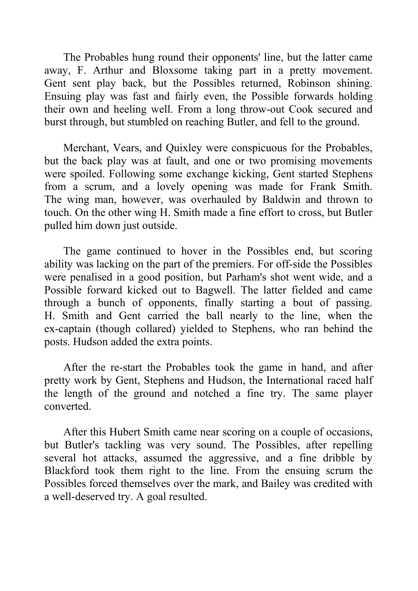The Probables hung round their opponents' line, but the latter came away, F. Arthur and Bloxsome taking part in a pretty movement. Gent sent play back, but the Possibles returned, Robinson shining. Ensuing play was fast and fairly even, the Possible forwards holding their own and heeling well. From a long throw-out Cook secured and burst through, but stumbled on reaching Butler, and fell to the ground.

Merchant, Vears, and Quixley were conspicuous for the Probables, but the back play was at fault, and one or two promising movements were spoiled. Following some exchange kicking, Gent started Stephens from a scrum, and a lovely opening was made for Frank Smith. The wing man, however, was overhauled by Baldwin and thrown to touch. On the other wing H. Smith made a fine effort to cross, but Butler pulled him down just outside.

The game continued to hover in the Possibles end, but scoring ability was lacking on the part of the premiers. For off-side the Possibles were penalised in a good position, but Parham's shot went wide, and a Possible forward kicked out to Bagwell. The latter fielded and came through a bunch of opponents, finally starting a bout of passing. H. Smith and Gent carried the ball nearly to the line, when the ex-captain (though collared) yielded to Stephens, who ran behind the posts. Hudson added the extra points.

After the re-start the Probables took the game in hand, and after pretty work by Gent, Stephens and Hudson, the International raced half the length of the ground and notched a fine try. The same player converted.

After this Hubert Smith came near scoring on a couple of occasions, but Butler's tackling was very sound. The Possibles, after repelling several hot attacks, assumed the aggressive, and a fine dribble by Blackford took them right to the line. From the ensuing scrum the Possibles forced themselves over the mark, and Bailey was credited with a well-deserved try. A goal resulted.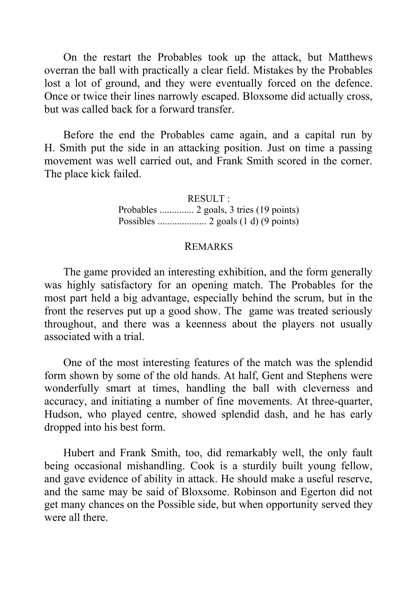On the restart the Probables took up the attack, but Matthews overran the ball with practically a clear field. Mistakes by the Probables lost a lot of ground, and they were eventually forced on the defence. Once or twice their lines narrowly escaped. Bloxsome did actually cross, but was called back for a forward transfer.

Before the end the Probables came again, and a capital run by H. Smith put the side in an attacking position. Just on time a passing movement was well carried out, and Frank Smith scored in the corner. The place kick failed.

> RESULT : Probables .............. 2 goals, 3 tries (19 points) Possibles .................... 2 goals (1 d) (9 points)

#### REMARKS

The game provided an interesting exhibition, and the form generally was highly satisfactory for an opening match. The Probables for the most part held a big advantage, especially behind the scrum, but in the front the reserves put up a good show. The game was treated seriously throughout, and there was a keenness about the players not usually associated with a trial.

One of the most interesting features of the match was the splendid form shown by some of the old hands. At half, Gent and Stephens were wonderfully smart at times, handling the ball with cleverness and accuracy, and initiating a number of fine movements. At three-quarter, Hudson, who played centre, showed splendid dash, and he has early dropped into his best form.

Hubert and Frank Smith, too, did remarkably well, the only fault being occasional mishandling. Cook is a sturdily built young fellow, and gave evidence of ability in attack. He should make a useful reserve, and the same may be said of Bloxsome. Robinson and Egerton did not get many chances on the Possible side, but when opportunity served they were all there.